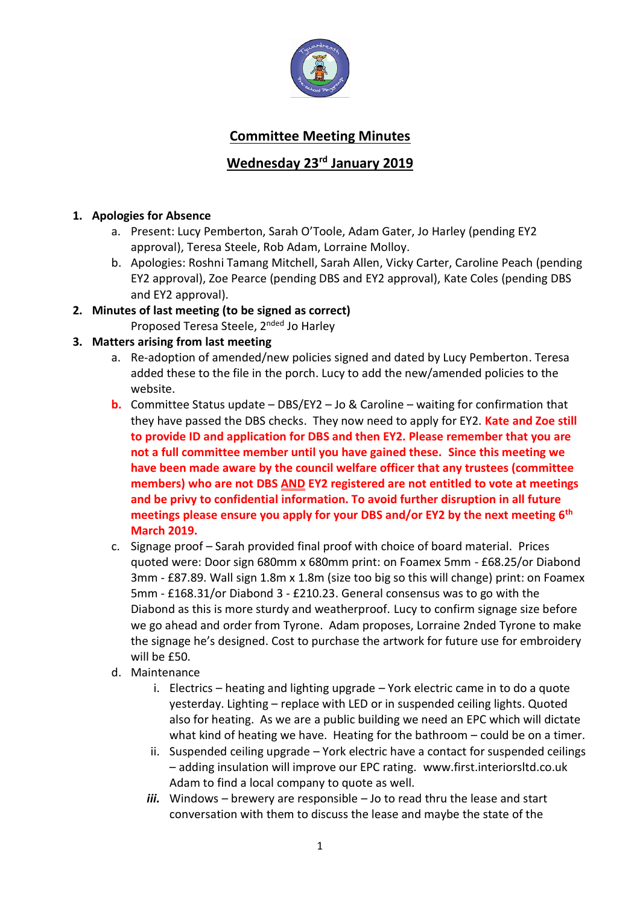

# **Committee Meeting Minutes**

## **Wednesday 23rd January 2019**

## **1. Apologies for Absence**

- a. Present: Lucy Pemberton, Sarah O'Toole, Adam Gater, Jo Harley (pending EY2 approval), Teresa Steele, Rob Adam, Lorraine Molloy.
- b. Apologies: Roshni Tamang Mitchell, Sarah Allen, Vicky Carter, Caroline Peach (pending EY2 approval), Zoe Pearce (pending DBS and EY2 approval), Kate Coles (pending DBS and EY2 approval).

# **2. Minutes of last meeting (to be signed as correct)**

Proposed Teresa Steele, 2nded Jo Harley

## **3. Matters arising from last meeting**

- a. Re-adoption of amended/new policies signed and dated by Lucy Pemberton. Teresa added these to the file in the porch. Lucy to add the new/amended policies to the website.
- **b.** Committee Status update DBS/EY2 Jo & Caroline waiting for confirmation that they have passed the DBS checks. They now need to apply for EY2. **Kate and Zoe still to provide ID and application for DBS and then EY2. Please remember that you are not a full committee member until you have gained these. Since this meeting we have been made aware by the council welfare officer that any trustees (committee members) who are not DBS AND EY2 registered are not entitled to vote at meetings and be privy to confidential information. To avoid further disruption in all future meetings please ensure you apply for your DBS and/or EY2 by the next meeting 6th March 2019.**
- c. Signage proof Sarah provided final proof with choice of board material. Prices quoted were: Door sign 680mm x 680mm print: on Foamex 5mm - £68.25/or Diabond 3mm - £87.89. Wall sign 1.8m x 1.8m (size too big so this will change) print: on Foamex 5mm - £168.31/or Diabond 3 - £210.23. General consensus was to go with the Diabond as this is more sturdy and weatherproof. Lucy to confirm signage size before we go ahead and order from Tyrone. Adam proposes, Lorraine 2nded Tyrone to make the signage he's designed. Cost to purchase the artwork for future use for embroidery will be £50.
- d. Maintenance
	- i. Electrics heating and lighting upgrade York electric came in to do a quote yesterday. Lighting – replace with LED or in suspended ceiling lights. Quoted also for heating. As we are a public building we need an EPC which will dictate what kind of heating we have. Heating for the bathroom – could be on a timer.
	- ii. Suspended ceiling upgrade York electric have a contact for suspended ceilings – adding insulation will improve our EPC rating. www.first.interiorsltd.co.uk Adam to find a local company to quote as well.
	- *iii.* Windows brewery are responsible Jo to read thru the lease and start conversation with them to discuss the lease and maybe the state of the